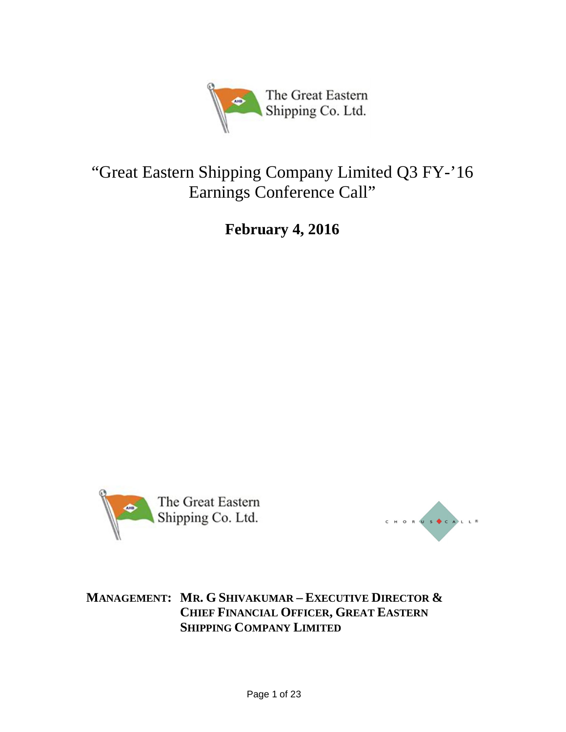

# "Great Eastern Shipping Company Limited Q3 FY-'16 Earnings Conference Call"

**February 4, 2016**





**MANAGEMENT: MR. G SHIVAKUMAR – EXECUTIVE DIRECTOR & CHIEF FINANCIAL OFFICER, GREAT EASTERN SHIPPING COMPANY LIMITED**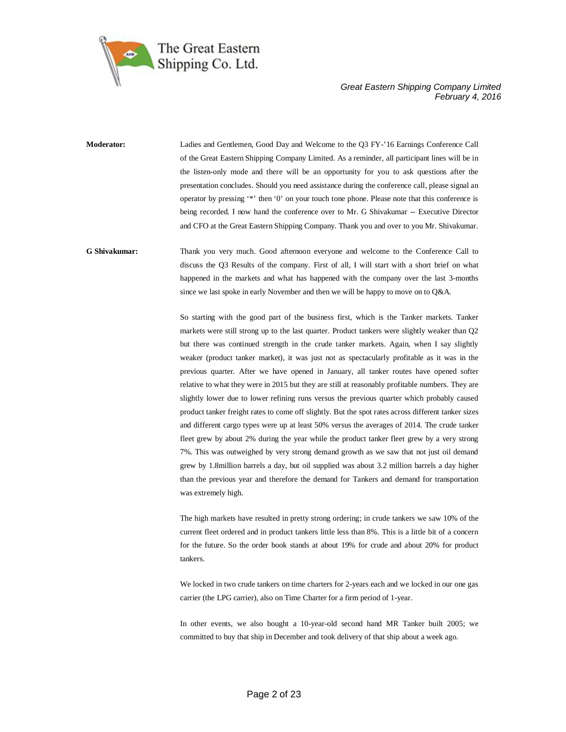

**Moderator:** Ladies and Gentlemen, Good Day and Welcome to the Q3 FY-'16 Earnings Conference Call of the Great Eastern Shipping Company Limited. As a reminder, all participant lines will be in the listen-only mode and there will be an opportunity for you to ask questions after the presentation concludes. Should you need assistance during the conference call, please signal an operator by pressing '\*' then '0' on your touch tone phone. Please note that this conference is being recorded. I now hand the conference over to Mr. G Shivakumar -- Executive Director and CFO at the Great Eastern Shipping Company. Thank you and over to you Mr. Shivakumar.

**G Shivakumar:** Thank you very much. Good afternoon everyone and welcome to the Conference Call to discuss the Q3 Results of the company. First of all, I will start with a short brief on what happened in the markets and what has happened with the company over the last 3-months since we last spoke in early November and then we will be happy to move on to  $Q\&\text{A}$ .

> So starting with the good part of the business first, which is the Tanker markets. Tanker markets were still strong up to the last quarter. Product tankers were slightly weaker than Q2 but there was continued strength in the crude tanker markets. Again, when I say slightly weaker (product tanker market), it was just not as spectacularly profitable as it was in the previous quarter. After we have opened in January, all tanker routes have opened softer relative to what they were in 2015 but they are still at reasonably profitable numbers. They are slightly lower due to lower refining runs versus the previous quarter which probably caused product tanker freight rates to come off slightly. But the spot rates across different tanker sizes and different cargo types were up at least 50% versus the averages of 2014. The crude tanker fleet grew by about 2% during the year while the product tanker fleet grew by a very strong 7%. This was outweighed by very strong demand growth as we saw that not just oil demand grew by 1.8million barrels a day, but oil supplied was about 3.2 million barrels a day higher than the previous year and therefore the demand for Tankers and demand for transportation was extremely high.

> The high markets have resulted in pretty strong ordering; in crude tankers we saw 10% of the current fleet ordered and in product tankers little less than 8%. This is a little bit of a concern for the future. So the order book stands at about 19% for crude and about 20% for product tankers.

> We locked in two crude tankers on time charters for 2-years each and we locked in our one gas carrier (the LPG carrier), also on Time Charter for a firm period of 1-year.

> In other events, we also bought a 10-year-old second hand MR Tanker built 2005; we committed to buy that ship in December and took delivery of that ship about a week ago.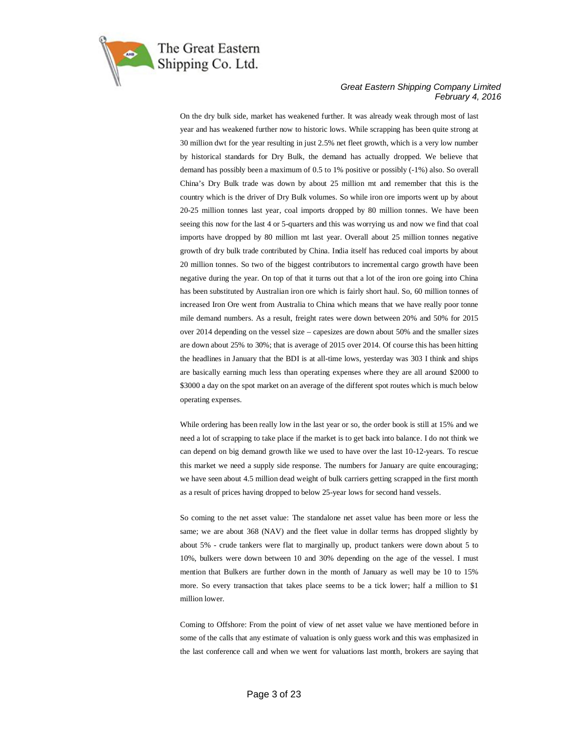

On the dry bulk side, market has weakened further. It was already weak through most of last year and has weakened further now to historic lows. While scrapping has been quite strong at 30 million dwt for the year resulting in just 2.5% net fleet growth, which is a very low number by historical standards for Dry Bulk, the demand has actually dropped. We believe that demand has possibly been a maximum of 0.5 to 1% positive or possibly (-1%) also. So overall China's Dry Bulk trade was down by about 25 million mt and remember that this is the country which is the driver of Dry Bulk volumes. So while iron ore imports went up by about 20-25 million tonnes last year, coal imports dropped by 80 million tonnes. We have been seeing this now for the last 4 or 5-quarters and this was worrying us and now we find that coal imports have dropped by 80 million mt last year. Overall about 25 million tonnes negative growth of dry bulk trade contributed by China. India itself has reduced coal imports by about 20 million tonnes. So two of the biggest contributors to incremental cargo growth have been negative during the year. On top of that it turns out that a lot of the iron ore going into China has been substituted by Australian iron ore which is fairly short haul. So, 60 million tonnes of increased Iron Ore went from Australia to China which means that we have really poor tonne mile demand numbers. As a result, freight rates were down between 20% and 50% for 2015 over 2014 depending on the vessel size – capesizes are down about 50% and the smaller sizes are down about 25% to 30%; that is average of 2015 over 2014. Of course this has been hitting the headlines in January that the BDI is at all-time lows, yesterday was 303 I think and ships are basically earning much less than operating expenses where they are all around \$2000 to \$3000 a day on the spot market on an average of the different spot routes which is much below operating expenses.

While ordering has been really low in the last year or so, the order book is still at 15% and we need a lot of scrapping to take place if the market is to get back into balance. I do not think we can depend on big demand growth like we used to have over the last 10-12-years. To rescue this market we need a supply side response. The numbers for January are quite encouraging; we have seen about 4.5 million dead weight of bulk carriers getting scrapped in the first month as a result of prices having dropped to below 25-year lows for second hand vessels.

So coming to the net asset value: The standalone net asset value has been more or less the same; we are about 368 (NAV) and the fleet value in dollar terms has dropped slightly by about 5% - crude tankers were flat to marginally up, product tankers were down about 5 to 10%, bulkers were down between 10 and 30% depending on the age of the vessel. I must mention that Bulkers are further down in the month of January as well may be 10 to 15% more. So every transaction that takes place seems to be a tick lower; half a million to \$1 million lower.

Coming to Offshore: From the point of view of net asset value we have mentioned before in some of the calls that any estimate of valuation is only guess work and this was emphasized in the last conference call and when we went for valuations last month, brokers are saying that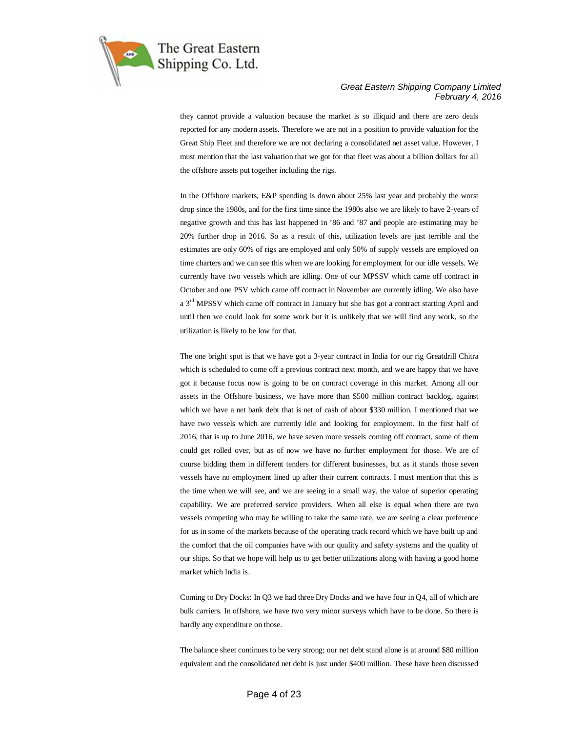

they cannot provide a valuation because the market is so illiquid and there are zero deals reported for any modern assets. Therefore we are not in a position to provide valuation for the Great Ship Fleet and therefore we are not declaring a consolidated net asset value. However, I must mention that the last valuation that we got for that fleet was about a billion dollars for all the offshore assets put together including the rigs.

In the Offshore markets, E&P spending is down about 25% last year and probably the worst drop since the 1980s, and for the first time since the 1980s also we are likely to have 2-years of negative growth and this has last happened in '86 and '87 and people are estimating may be 20% further drop in 2016. So as a result of this, utilization levels are just terrible and the estimates are only 60% of rigs are employed and only 50% of supply vessels are employed on time charters and we can see this when we are looking for employment for our idle vessels. We currently have two vessels which are idling. One of our MPSSV which came off contract in October and one PSV which came off contract in November are currently idling. We also have a 3rd MPSSV which came off contract in January but she has got a contract starting April and until then we could look for some work but it is unlikely that we will find any work, so the utilization is likely to be low for that.

The one bright spot is that we have got a 3-year contract in India for our rig Greatdrill Chitra which is scheduled to come off a previous contract next month, and we are happy that we have got it because focus now is going to be on contract coverage in this market. Among all our assets in the Offshore business, we have more than \$500 million contract backlog, against which we have a net bank debt that is net of cash of about \$330 million. I mentioned that we have two vessels which are currently idle and looking for employment. In the first half of 2016, that is up to June 2016, we have seven more vessels coming off contract, some of them could get rolled over, but as of now we have no further employment for those. We are of course bidding them in different tenders for different businesses, but as it stands those seven vessels have no employment lined up after their current contracts. I must mention that this is the time when we will see, and we are seeing in a small way, the value of superior operating capability. We are preferred service providers. When all else is equal when there are two vessels competing who may be willing to take the same rate, we are seeing a clear preference for us in some of the markets because of the operating track record which we have built up and the comfort that the oil companies have with our quality and safety systems and the quality of our ships. So that we hope will help us to get better utilizations along with having a good home market which India is.

Coming to Dry Docks: In Q3 we had three Dry Docks and we have four in Q4, all of which are bulk carriers. In offshore, we have two very minor surveys which have to be done. So there is hardly any expenditure on those.

The balance sheet continues to be very strong; our net debt stand alone is at around \$80 million equivalent and the consolidated net debt is just under \$400 million. These have been discussed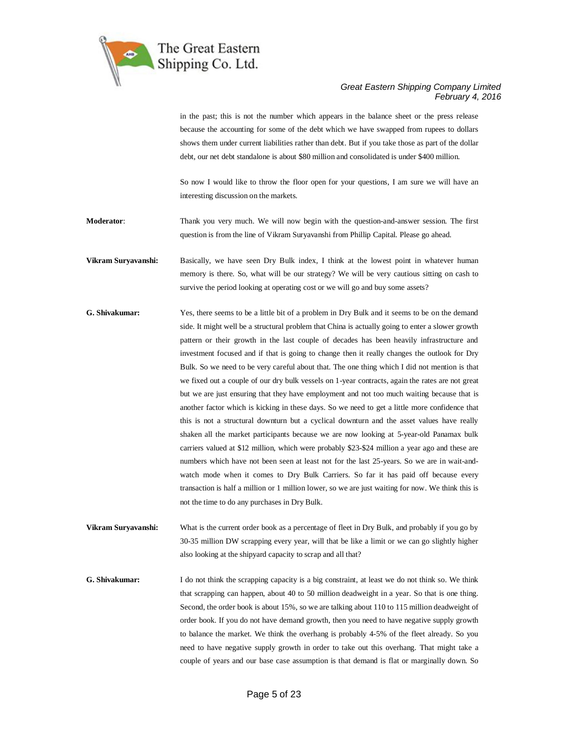

in the past; this is not the number which appears in the balance sheet or the press release because the accounting for some of the debt which we have swapped from rupees to dollars shows them under current liabilities rather than debt. But if you take those as part of the dollar debt, our net debt standalone is about \$80 million and consolidated is under \$400 million.

So now I would like to throw the floor open for your questions, I am sure we will have an interesting discussion on the markets.

**Moderator**: Thank you very much. We will now begin with the question-and-answer session. The first question is from the line of Vikram Suryavanshi from Phillip Capital. Please go ahead.

**Vikram Suryavanshi:** Basically, we have seen Dry Bulk index, I think at the lowest point in whatever human memory is there. So, what will be our strategy? We will be very cautious sitting on cash to survive the period looking at operating cost or we will go and buy some assets?

- **G. Shivakumar:** Yes, there seems to be a little bit of a problem in Dry Bulk and it seems to be on the demand side. It might well be a structural problem that China is actually going to enter a slower growth pattern or their growth in the last couple of decades has been heavily infrastructure and investment focused and if that is going to change then it really changes the outlook for Dry Bulk. So we need to be very careful about that. The one thing which I did not mention is that we fixed out a couple of our dry bulk vessels on 1-year contracts, again the rates are not great but we are just ensuring that they have employment and not too much waiting because that is another factor which is kicking in these days. So we need to get a little more confidence that this is not a structural downturn but a cyclical downturn and the asset values have really shaken all the market participants because we are now looking at 5-year-old Panamax bulk carriers valued at \$12 million, which were probably \$23-\$24 million a year ago and these are numbers which have not been seen at least not for the last 25-years. So we are in wait-andwatch mode when it comes to Dry Bulk Carriers. So far it has paid off because every transaction is half a million or 1 million lower, so we are just waiting for now. We think this is not the time to do any purchases in Dry Bulk.
- **Vikram Suryavanshi:** What is the current order book as a percentage of fleet in Dry Bulk, and probably if you go by 30-35 million DW scrapping every year, will that be like a limit or we can go slightly higher also looking at the shipyard capacity to scrap and all that?

**G. Shivakumar:** I do not think the scrapping capacity is a big constraint, at least we do not think so. We think that scrapping can happen, about 40 to 50 million deadweight in a year. So that is one thing. Second, the order book is about 15%, so we are talking about 110 to 115 million deadweight of order book. If you do not have demand growth, then you need to have negative supply growth to balance the market. We think the overhang is probably 4-5% of the fleet already. So you need to have negative supply growth in order to take out this overhang. That might take a couple of years and our base case assumption is that demand is flat or marginally down. So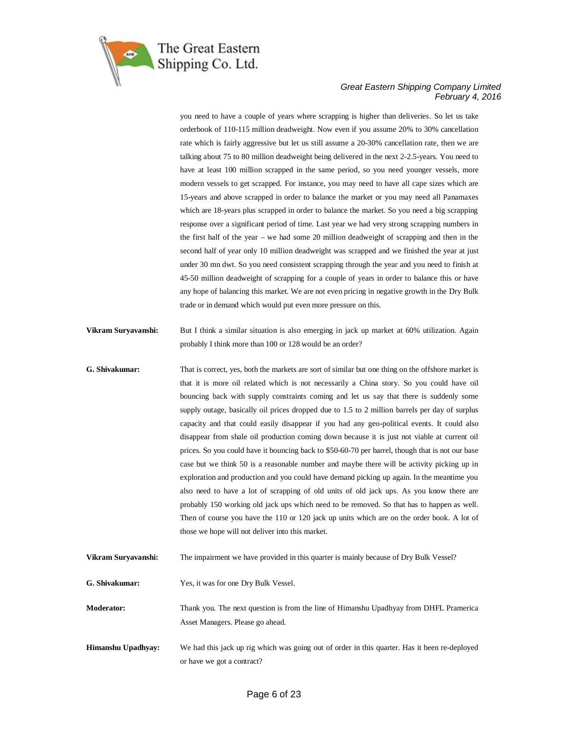

you need to have a couple of years where scrapping is higher than deliveries. So let us take orderbook of 110-115 million deadweight. Now even if you assume 20% to 30% cancellation rate which is fairly aggressive but let us still assume a 20-30% cancellation rate, then we are talking about 75 to 80 million deadweight being delivered in the next 2-2.5-years. You need to have at least 100 million scrapped in the same period, so you need younger vessels, more modern vessels to get scrapped. For instance, you may need to have all cape sizes which are 15-years and above scrapped in order to balance the market or you may need all Panamaxes which are 18-years plus scrapped in order to balance the market. So you need a big scrapping response over a significant period of time. Last year we had very strong scrapping numbers in the first half of the year – we had some 20 million deadweight of scrapping and then in the second half of year only 10 million deadweight was scrapped and we finished the year at just under 30 mn dwt. So you need consistent scrapping through the year and you need to finish at 45-50 million deadweight of scrapping for a couple of years in order to balance this or have any hope of balancing this market. We are not even pricing in negative growth in the Dry Bulk trade or in demand which would put even more pressure on this.

- **Vikram Suryavanshi:** But I think a similar situation is also emerging in jack up market at 60% utilization. Again probably I think more than 100 or 128 would be an order?
- **G. Shivakumar:** That is correct, yes, both the markets are sort of similar but one thing on the offshore market is that it is more oil related which is not necessarily a China story. So you could have oil bouncing back with supply constraints coming and let us say that there is suddenly some supply outage, basically oil prices dropped due to 1.5 to 2 million barrels per day of surplus capacity and that could easily disappear if you had any geo-political events. It could also disappear from shale oil production coming down because it is just not viable at current oil prices. So you could have it bouncing back to \$50-60-70 per barrel, though that is not our base case but we think 50 is a reasonable number and maybe there will be activity picking up in exploration and production and you could have demand picking up again. In the meantime you also need to have a lot of scrapping of old units of old jack ups. As you know there are probably 150 working old jack ups which need to be removed. So that has to happen as well. Then of course you have the 110 or 120 jack up units which are on the order book. A lot of those we hope will not deliver into this market.
- **Vikram Suryavanshi:** The impairment we have provided in this quarter is mainly because of Dry Bulk Vessel?
- **G. Shivakumar:** Yes, it was for one Dry Bulk Vessel.
- **Moderator:** Thank you. The next question is from the line of Himanshu Upadhyay from DHFL Pramerica Asset Managers. Please go ahead.
- **Himanshu Upadhyay:** We had this jack up rig which was going out of order in this quarter. Has it been re-deployed or have we got a contract?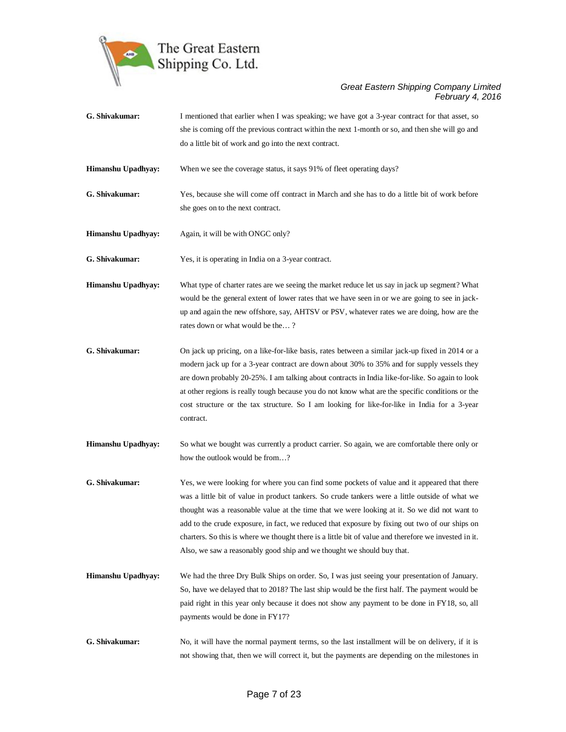

- **G. Shivakumar:** I mentioned that earlier when I was speaking; we have got a 3-year contract for that asset, so she is coming off the previous contract within the next 1-month or so, and then she will go and do a little bit of work and go into the next contract.
- **Himanshu Upadhyay:** When we see the coverage status, it says 91% of fleet operating days?

**G. Shivakumar:** Yes, because she will come off contract in March and she has to do a little bit of work before she goes on to the next contract.

**Himanshu Upadhyay:** Again, it will be with ONGC only?

**G. Shivakumar:** Yes, it is operating in India on a 3-year contract.

- **Himanshu Upadhyay:** What type of charter rates are we seeing the market reduce let us say in jack up segment? What would be the general extent of lower rates that we have seen in or we are going to see in jackup and again the new offshore, say, AHTSV or PSV, whatever rates we are doing, how are the rates down or what would be the… ?
- **G. Shivakumar:** On jack up pricing, on a like-for-like basis, rates between a similar jack-up fixed in 2014 or a modern jack up for a 3-year contract are down about 30% to 35% and for supply vessels they are down probably 20-25%. I am talking about contracts in India like-for-like. So again to look at other regions is really tough because you do not know what are the specific conditions or the cost structure or the tax structure. So I am looking for like-for-like in India for a 3-year contract.
- **Himanshu Upadhyay:** So what we bought was currently a product carrier. So again, we are comfortable there only or how the outlook would be from…?
- **G. Shivakumar:** Yes, we were looking for where you can find some pockets of value and it appeared that there was a little bit of value in product tankers. So crude tankers were a little outside of what we thought was a reasonable value at the time that we were looking at it. So we did not want to add to the crude exposure, in fact, we reduced that exposure by fixing out two of our ships on charters. So this is where we thought there is a little bit of value and therefore we invested in it. Also, we saw a reasonably good ship and we thought we should buy that.
- **Himanshu Upadhyay:** We had the three Dry Bulk Ships on order. So, I was just seeing your presentation of January. So, have we delayed that to 2018? The last ship would be the first half. The payment would be paid right in this year only because it does not show any payment to be done in FY18, so, all payments would be done in FY17?
- **G. Shivakumar:** No, it will have the normal payment terms, so the last installment will be on delivery, if it is not showing that, then we will correct it, but the payments are depending on the milestones in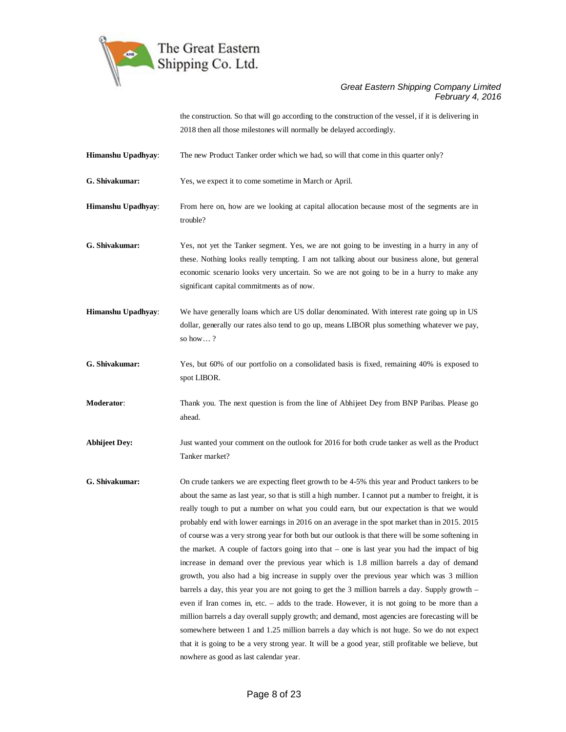

the construction. So that will go according to the construction of the vessel, if it is delivering in 2018 then all those milestones will normally be delayed accordingly.

**Himanshu Upadhyay**: The new Product Tanker order which we had, so will that come in this quarter only?

**G. Shivakumar:** Yes, we expect it to come sometime in March or April.

**Himanshu Upadhyay**: From here on, how are we looking at capital allocation because most of the segments are in trouble?

**G. Shivakumar:** Yes, not yet the Tanker segment. Yes, we are not going to be investing in a hurry in any of these. Nothing looks really tempting. I am not talking about our business alone, but general economic scenario looks very uncertain. So we are not going to be in a hurry to make any significant capital commitments as of now.

**Himanshu Upadhyay**: We have generally loans which are US dollar denominated. With interest rate going up in US dollar, generally our rates also tend to go up, means LIBOR plus something whatever we pay, so how… ?

**G. Shivakumar:** Yes, but 60% of our portfolio on a consolidated basis is fixed, remaining 40% is exposed to spot LIBOR.

**Moderator**: Thank you. The next question is from the line of Abhijeet Dey from BNP Paribas. Please go ahead.

**Abhijeet Dey:** Just wanted your comment on the outlook for 2016 for both crude tanker as well as the Product Tanker market?

**G. Shivakumar:** On crude tankers we are expecting fleet growth to be 4-5% this year and Product tankers to be about the same as last year, so that is still a high number. I cannot put a number to freight, it is really tough to put a number on what you could earn, but our expectation is that we would probably end with lower earnings in 2016 on an average in the spot market than in 2015. 2015 of course was a very strong year for both but our outlook is that there will be some softening in the market. A couple of factors going into that – one is last year you had the impact of big increase in demand over the previous year which is 1.8 million barrels a day of demand growth, you also had a big increase in supply over the previous year which was 3 million barrels a day, this year you are not going to get the 3 million barrels a day. Supply growth – even if Iran comes in, etc. – adds to the trade. However, it is not going to be more than a million barrels a day overall supply growth; and demand, most agencies are forecasting will be somewhere between 1 and 1.25 million barrels a day which is not huge. So we do not expect that it is going to be a very strong year. It will be a good year, still profitable we believe, but nowhere as good as last calendar year.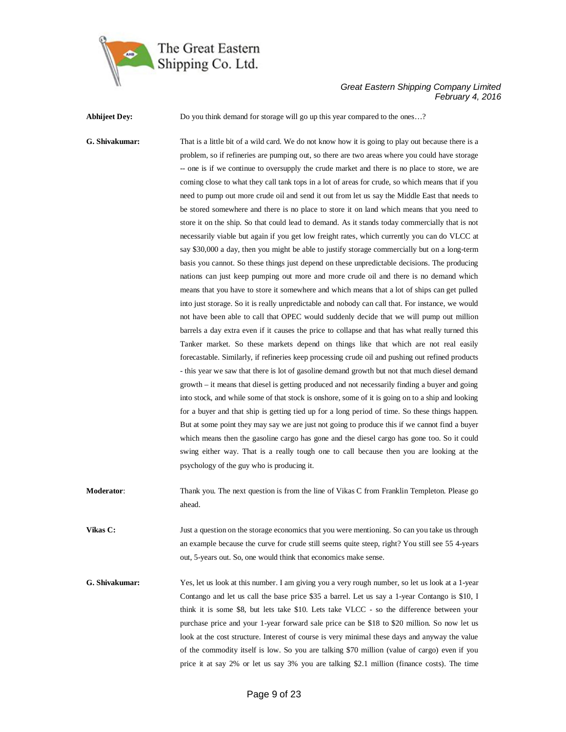

**Abhijeet Dey:** Do you think demand for storage will go up this year compared to the ones...?

**G. Shivakumar:** That is a little bit of a wild card. We do not know how it is going to play out because there is a problem, so if refineries are pumping out, so there are two areas where you could have storage -- one is if we continue to oversupply the crude market and there is no place to store, we are coming close to what they call tank tops in a lot of areas for crude, so which means that if you need to pump out more crude oil and send it out from let us say the Middle East that needs to be stored somewhere and there is no place to store it on land which means that you need to store it on the ship. So that could lead to demand. As it stands today commercially that is not necessarily viable but again if you get low freight rates, which currently you can do VLCC at say \$30,000 a day, then you might be able to justify storage commercially but on a long-term basis you cannot. So these things just depend on these unpredictable decisions. The producing nations can just keep pumping out more and more crude oil and there is no demand which means that you have to store it somewhere and which means that a lot of ships can get pulled into just storage. So it is really unpredictable and nobody can call that. For instance, we would not have been able to call that OPEC would suddenly decide that we will pump out million barrels a day extra even if it causes the price to collapse and that has what really turned this Tanker market. So these markets depend on things like that which are not real easily forecastable. Similarly, if refineries keep processing crude oil and pushing out refined products - this year we saw that there is lot of gasoline demand growth but not that much diesel demand growth – it means that diesel is getting produced and not necessarily finding a buyer and going into stock, and while some of that stock is onshore, some of it is going on to a ship and looking for a buyer and that ship is getting tied up for a long period of time. So these things happen. But at some point they may say we are just not going to produce this if we cannot find a buyer which means then the gasoline cargo has gone and the diesel cargo has gone too. So it could swing either way. That is a really tough one to call because then you are looking at the psychology of the guy who is producing it.

**Moderator:** Thank you. The next question is from the line of Vikas C from Franklin Templeton. Please go ahead.

**Vikas C:** Just a question on the storage economics that you were mentioning. So can you take us through an example because the curve for crude still seems quite steep, right? You still see 55 4-years out, 5-years out. So, one would think that economics make sense.

**G. Shivakumar:** Yes, let us look at this number. I am giving you a very rough number, so let us look at a 1-year Contango and let us call the base price \$35 a barrel. Let us say a 1-year Contango is \$10, I think it is some \$8, but lets take \$10. Lets take VLCC - so the difference between your purchase price and your 1-year forward sale price can be \$18 to \$20 million. So now let us look at the cost structure. Interest of course is very minimal these days and anyway the value of the commodity itself is low. So you are talking \$70 million (value of cargo) even if you price it at say 2% or let us say 3% you are talking \$2.1 million (finance costs). The time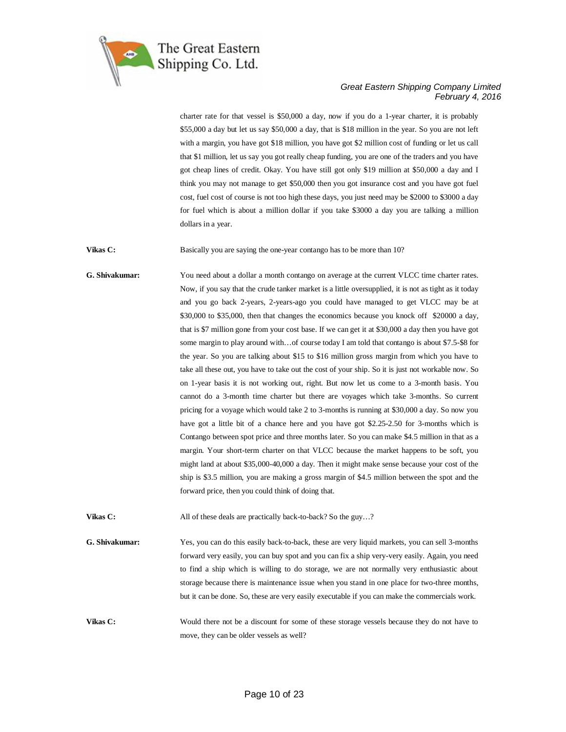

charter rate for that vessel is \$50,000 a day, now if you do a 1-year charter, it is probably \$55,000 a day but let us say \$50,000 a day, that is \$18 million in the year. So you are not left with a margin, you have got \$18 million, you have got \$2 million cost of funding or let us call that \$1 million, let us say you got really cheap funding, you are one of the traders and you have got cheap lines of credit. Okay. You have still got only \$19 million at \$50,000 a day and I think you may not manage to get \$50,000 then you got insurance cost and you have got fuel cost, fuel cost of course is not too high these days, you just need may be \$2000 to \$3000 a day for fuel which is about a million dollar if you take \$3000 a day you are talking a million dollars in a year.

**Vikas C:** Basically you are saying the one-year contango has to be more than 10?

**G. Shivakumar:** You need about a dollar a month contango on average at the current VLCC time charter rates. Now, if you say that the crude tanker market is a little oversupplied, it is not as tight as it today and you go back 2-years, 2-years-ago you could have managed to get VLCC may be at \$30,000 to \$35,000, then that changes the economics because you knock off \$20000 a day, that is \$7 million gone from your cost base. If we can get it at \$30,000 a day then you have got some margin to play around with...of course today I am told that contango is about \$7.5-\$8 for the year. So you are talking about \$15 to \$16 million gross margin from which you have to take all these out, you have to take out the cost of your ship. So it is just not workable now. So on 1-year basis it is not working out, right. But now let us come to a 3-month basis. You cannot do a 3-month time charter but there are voyages which take 3-months. So current pricing for a voyage which would take 2 to 3-months is running at \$30,000 a day. So now you have got a little bit of a chance here and you have got \$2.25-2.50 for 3-months which is Contango between spot price and three months later. So you can make \$4.5 million in that as a margin. Your short-term charter on that VLCC because the market happens to be soft, you might land at about \$35,000-40,000 a day. Then it might make sense because your cost of the ship is \$3.5 million, you are making a gross margin of \$4.5 million between the spot and the forward price, then you could think of doing that.

**Vikas C:** All of these deals are practically back-to-back? So the guy...?

**G. Shivakumar:** Yes, you can do this easily back-to-back, these are very liquid markets, you can sell 3-months forward very easily, you can buy spot and you can fix a ship very-very easily. Again, you need to find a ship which is willing to do storage, we are not normally very enthusiastic about storage because there is maintenance issue when you stand in one place for two-three months, but it can be done. So, these are very easily executable if you can make the commercials work.

**Vikas C:** Would there not be a discount for some of these storage vessels because they do not have to move, they can be older vessels as well?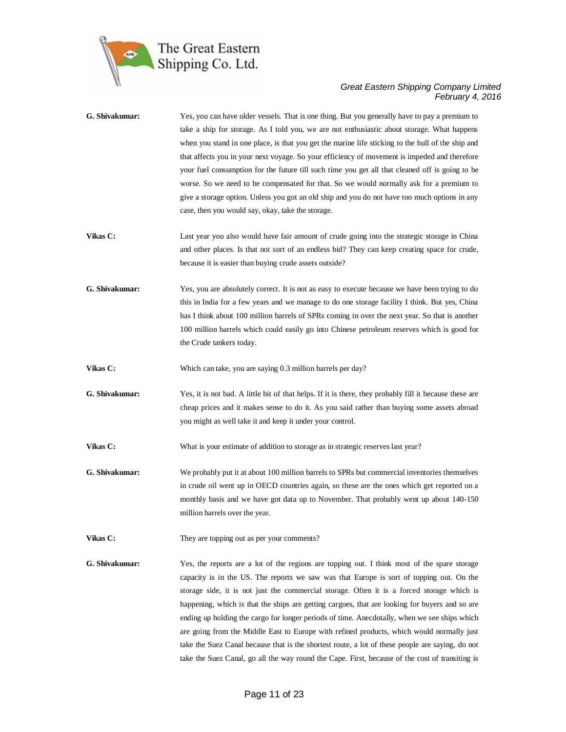

| G. Shivakumar: | Yes, you can have older vessels. That is one thing. But you generally have to pay a premium to<br>take a ship for storage. As I told you, we are not enthusiastic about storage. What happens<br>when you stand in one place, is that you get the marine life sticking to the hull of the ship and<br>that affects you in your next voyage. So your efficiency of movement is impeded and therefore<br>your fuel consumption for the future till such time you get all that cleaned off is going to be<br>worse. So we need to be compensated for that. So we would normally ask for a premium to<br>give a storage option. Unless you got an old ship and you do not have too much options in any<br>case, then you would say, okay, take the storage.                                      |
|----------------|----------------------------------------------------------------------------------------------------------------------------------------------------------------------------------------------------------------------------------------------------------------------------------------------------------------------------------------------------------------------------------------------------------------------------------------------------------------------------------------------------------------------------------------------------------------------------------------------------------------------------------------------------------------------------------------------------------------------------------------------------------------------------------------------|
| Vikas C:       | Last year you also would have fair amount of crude going into the strategic storage in China<br>and other places. Is that not sort of an endless bid? They can keep creating space for crude,<br>because it is easier than buying crude assets outside?                                                                                                                                                                                                                                                                                                                                                                                                                                                                                                                                      |
| G. Shivakumar: | Yes, you are absolutely correct. It is not as easy to execute because we have been trying to do<br>this in India for a few years and we manage to do one storage facility I think. But yes, China<br>has I think about 100 million barrels of SPRs coming in over the next year. So that is another<br>100 million barrels which could easily go into Chinese petroleum reserves which is good for<br>the Crude tankers today.                                                                                                                                                                                                                                                                                                                                                               |
| Vikas C:       | Which can take, you are saying 0.3 million barrels per day?                                                                                                                                                                                                                                                                                                                                                                                                                                                                                                                                                                                                                                                                                                                                  |
| G. Shivakumar: | Yes, it is not bad. A little bit of that helps. If it is there, they probably fill it because these are<br>cheap prices and it makes sense to do it. As you said rather than buying some assets abroad<br>you might as well take it and keep it under your control.                                                                                                                                                                                                                                                                                                                                                                                                                                                                                                                          |
| Vikas C:       | What is your estimate of addition to storage as in strategic reserves last year?                                                                                                                                                                                                                                                                                                                                                                                                                                                                                                                                                                                                                                                                                                             |
| G. Shivakumar: | We probably put it at about 100 million barrels to SPRs but commercial inventories themselves<br>in crude oil went up in OECD countries again, so these are the ones which get reported on a<br>monthly basis and we have got data up to November. That probably went up about 140-150<br>million barrels over the year.                                                                                                                                                                                                                                                                                                                                                                                                                                                                     |
| Vikas C:       | They are topping out as per your comments?                                                                                                                                                                                                                                                                                                                                                                                                                                                                                                                                                                                                                                                                                                                                                   |
| G. Shivakumar: | Yes, the reports are a lot of the regions are topping out. I think most of the spare storage<br>capacity is in the US. The reports we saw was that Europe is sort of topping out. On the<br>storage side, it is not just the commercial storage. Often it is a forced storage which is<br>happening, which is that the ships are getting cargoes, that are looking for buyers and so are<br>ending up holding the cargo for longer periods of time. Anecdotally, when we see ships which<br>are going from the Middle East to Europe with refined products, which would normally just<br>take the Suez Canal because that is the shortest route, a lot of these people are saying, do not<br>take the Suez Canal, go all the way round the Cape. First, because of the cost of transiting is |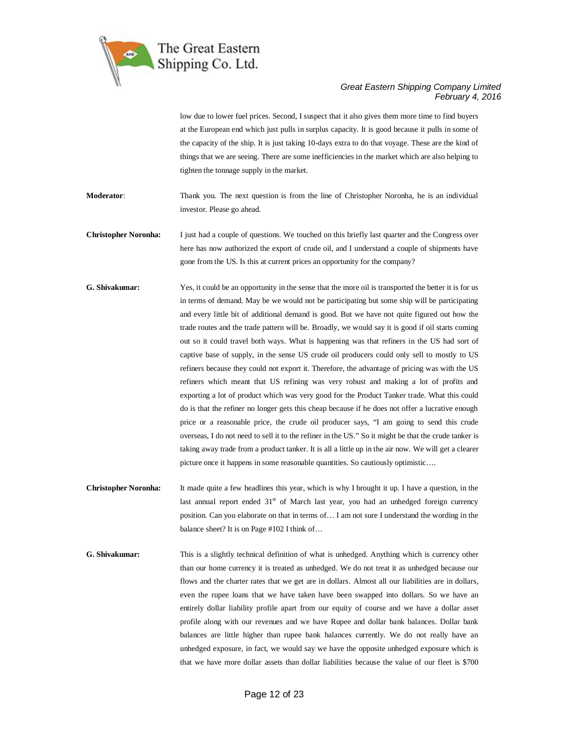

low due to lower fuel prices. Second, I suspect that it also gives them more time to find buyers at the European end which just pulls in surplus capacity. It is good because it pulls in some of the capacity of the ship. It is just taking 10-days extra to do that voyage. These are the kind of things that we are seeing. There are some inefficiencies in the market which are also helping to tighten the tonnage supply in the market.

**Moderator:** Thank you. The next question is from the line of Christopher Noronha, he is an individual investor. Please go ahead.

**Christopher Noronha:** I just had a couple of questions. We touched on this briefly last quarter and the Congress over here has now authorized the export of crude oil, and I understand a couple of shipments have gone from the US. Is this at current prices an opportunity for the company?

- **G. Shivakumar:** Yes, it could be an opportunity in the sense that the more oil is transported the better it is for us in terms of demand. May be we would not be participating but some ship will be participating and every little bit of additional demand is good. But we have not quite figured out how the trade routes and the trade pattern will be. Broadly, we would say it is good if oil starts coming out so it could travel both ways. What is happening was that refiners in the US had sort of captive base of supply, in the sense US crude oil producers could only sell to mostly to US refiners because they could not export it. Therefore, the advantage of pricing was with the US refiners which meant that US refining was very robust and making a lot of profits and exporting a lot of product which was very good for the Product Tanker trade. What this could do is that the refiner no longer gets this cheap because if he does not offer a lucrative enough price or a reasonable price, the crude oil producer says, "I am going to send this crude overseas, I do not need to sell it to the refiner in the US." So it might be that the crude tanker is taking away trade from a product tanker. It is all a little up in the air now. We will get a clearer picture once it happens in some reasonable quantities. So cautiously optimistic….
- **Christopher Noronha:** It made quite a few headlines this year, which is why I brought it up. I have a question, in the last annual report ended  $31<sup>st</sup>$  of March last year, you had an unhedged foreign currency position. Can you elaborate on that in terms of… I am not sure I understand the wording in the balance sheet? It is on Page #102 I think of…

**G. Shivakumar:** This is a slightly technical definition of what is unhedged. Anything which is currency other than our home currency it is treated as unhedged. We do not treat it as unhedged because our flows and the charter rates that we get are in dollars. Almost all our liabilities are in dollars, even the rupee loans that we have taken have been swapped into dollars. So we have an entirely dollar liability profile apart from our equity of course and we have a dollar asset profile along with our revenues and we have Rupee and dollar bank balances. Dollar bank balances are little higher than rupee bank balances currently. We do not really have an unhedged exposure, in fact, we would say we have the opposite unhedged exposure which is that we have more dollar assets than dollar liabilities because the value of our fleet is \$700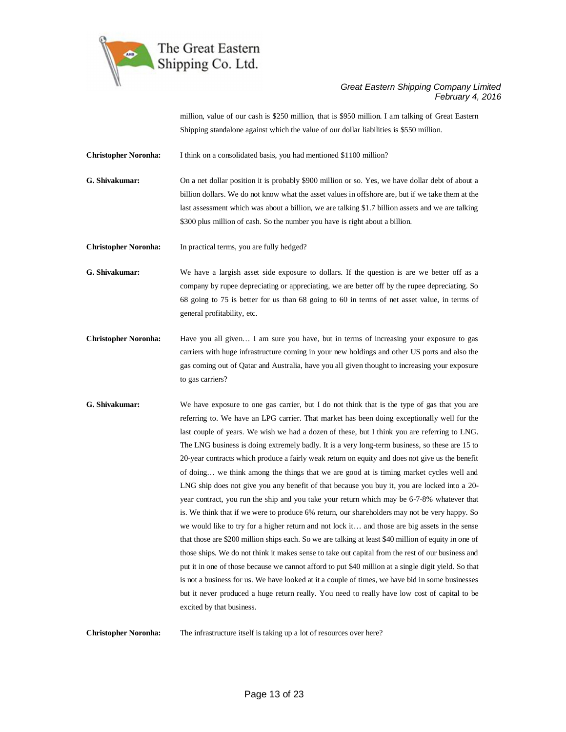

million, value of our cash is \$250 million, that is \$950 million. I am talking of Great Eastern Shipping standalone against which the value of our dollar liabilities is \$550 million.

**Christopher Noronha:** I think on a consolidated basis, you had mentioned \$1100 million?

**G. Shivakumar:** On a net dollar position it is probably \$900 million or so. Yes, we have dollar debt of about a billion dollars. We do not know what the asset values in offshore are, but if we take them at the last assessment which was about a billion, we are talking \$1.7 billion assets and we are talking \$300 plus million of cash. So the number you have is right about a billion.

**Christopher Noronha:** In practical terms, you are fully hedged?

**G. Shivakumar:** We have a largish asset side exposure to dollars. If the question is are we better off as a company by rupee depreciating or appreciating, we are better off by the rupee depreciating. So 68 going to 75 is better for us than 68 going to 60 in terms of net asset value, in terms of general profitability, etc.

- **Christopher Noronha:** Have you all given… I am sure you have, but in terms of increasing your exposure to gas carriers with huge infrastructure coming in your new holdings and other US ports and also the gas coming out of Qatar and Australia, have you all given thought to increasing your exposure to gas carriers?
- **G. Shivakumar:** We have exposure to one gas carrier, but I do not think that is the type of gas that you are referring to. We have an LPG carrier. That market has been doing exceptionally well for the last couple of years. We wish we had a dozen of these, but I think you are referring to LNG. The LNG business is doing extremely badly. It is a very long-term business, so these are 15 to 20-year contracts which produce a fairly weak return on equity and does not give us the benefit of doing… we think among the things that we are good at is timing market cycles well and LNG ship does not give you any benefit of that because you buy it, you are locked into a 20 year contract, you run the ship and you take your return which may be 6-7-8% whatever that is. We think that if we were to produce 6% return, our shareholders may not be very happy. So we would like to try for a higher return and not lock it… and those are big assets in the sense that those are \$200 million ships each. So we are talking at least \$40 million of equity in one of those ships. We do not think it makes sense to take out capital from the rest of our business and put it in one of those because we cannot afford to put \$40 million at a single digit yield. So that is not a business for us. We have looked at it a couple of times, we have bid in some businesses but it never produced a huge return really. You need to really have low cost of capital to be excited by that business.

**Christopher Noronha:** The infrastructure itself is taking up a lot of resources over here?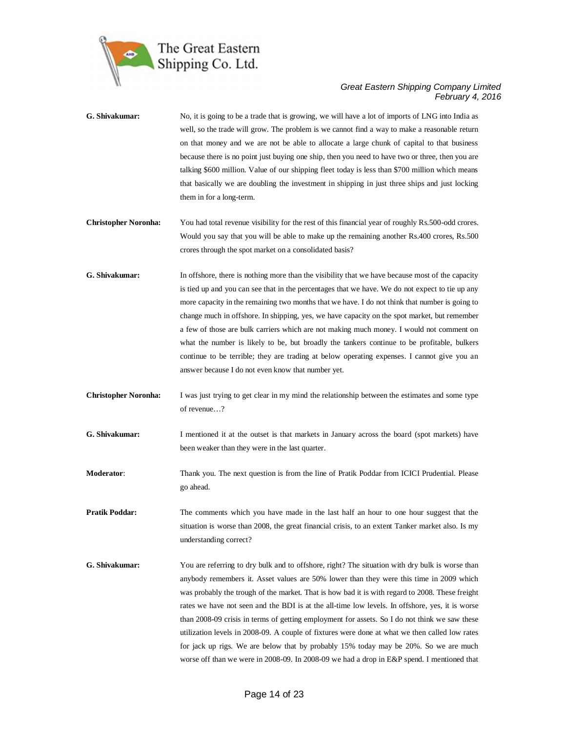

| G. Shivakumar:              | No, it is going to be a trade that is growing, we will have a lot of imports of LNG into India as<br>well, so the trade will grow. The problem is we cannot find a way to make a reasonable return<br>on that money and we are not be able to allocate a large chunk of capital to that business<br>because there is no point just buying one ship, then you need to have two or three, then you are<br>talking \$600 million. Value of our shipping fleet today is less than \$700 million which means<br>that basically we are doubling the investment in shipping in just three ships and just locking<br>them in for a long-term.                                                                                                                                                     |
|-----------------------------|-------------------------------------------------------------------------------------------------------------------------------------------------------------------------------------------------------------------------------------------------------------------------------------------------------------------------------------------------------------------------------------------------------------------------------------------------------------------------------------------------------------------------------------------------------------------------------------------------------------------------------------------------------------------------------------------------------------------------------------------------------------------------------------------|
| <b>Christopher Noronha:</b> | You had total revenue visibility for the rest of this financial year of roughly Rs.500-odd crores.<br>Would you say that you will be able to make up the remaining another Rs.400 crores, Rs.500<br>crores through the spot market on a consolidated basis?                                                                                                                                                                                                                                                                                                                                                                                                                                                                                                                               |
| G. Shivakumar:              | In offshore, there is nothing more than the visibility that we have because most of the capacity<br>is tied up and you can see that in the percentages that we have. We do not expect to tie up any<br>more capacity in the remaining two months that we have. I do not think that number is going to<br>change much in offshore. In shipping, yes, we have capacity on the spot market, but remember<br>a few of those are bulk carriers which are not making much money. I would not comment on<br>what the number is likely to be, but broadly the tankers continue to be profitable, bulkers<br>continue to be terrible; they are trading at below operating expenses. I cannot give you an<br>answer because I do not even know that number yet.                                     |
| <b>Christopher Noronha:</b> | I was just trying to get clear in my mind the relationship between the estimates and some type<br>of revenue?                                                                                                                                                                                                                                                                                                                                                                                                                                                                                                                                                                                                                                                                             |
| G. Shivakumar:              | I mentioned it at the outset is that markets in January across the board (spot markets) have<br>been weaker than they were in the last quarter.                                                                                                                                                                                                                                                                                                                                                                                                                                                                                                                                                                                                                                           |
| Moderator:                  | Thank you. The next question is from the line of Pratik Poddar from ICICI Prudential. Please<br>go ahead.                                                                                                                                                                                                                                                                                                                                                                                                                                                                                                                                                                                                                                                                                 |
| <b>Pratik Poddar:</b>       | The comments which you have made in the last half an hour to one hour suggest that the<br>situation is worse than 2008, the great financial crisis, to an extent Tanker market also. Is my<br>understanding correct?                                                                                                                                                                                                                                                                                                                                                                                                                                                                                                                                                                      |
| G. Shivakumar:              | You are referring to dry bulk and to offshore, right? The situation with dry bulk is worse than<br>anybody remembers it. Asset values are 50% lower than they were this time in 2009 which<br>was probably the trough of the market. That is how bad it is with regard to 2008. These freight<br>rates we have not seen and the BDI is at the all-time low levels. In offshore, yes, it is worse<br>than 2008-09 crisis in terms of getting employment for assets. So I do not think we saw these<br>utilization levels in 2008-09. A couple of fixtures were done at what we then called low rates<br>for jack up rigs. We are below that by probably 15% today may be 20%. So we are much<br>worse off than we were in 2008-09. In 2008-09 we had a drop in E&P spend. I mentioned that |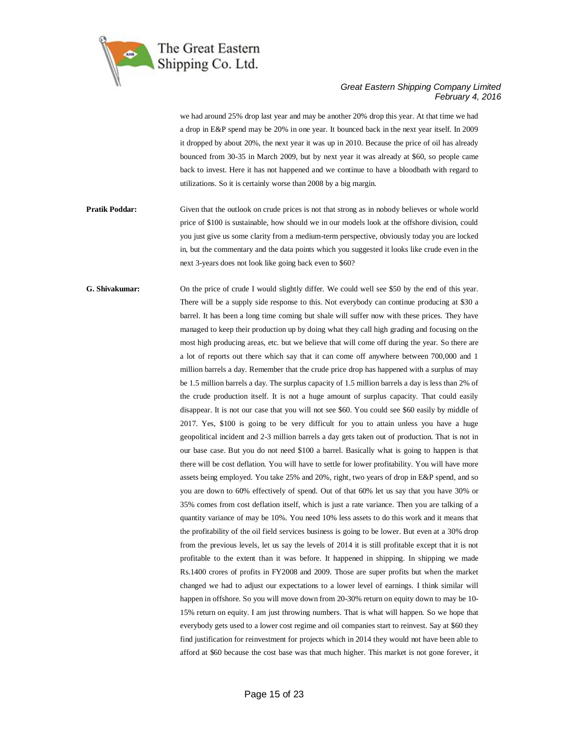

we had around 25% drop last year and may be another 20% drop this year. At that time we had a drop in E&P spend may be 20% in one year. It bounced back in the next year itself. In 2009 it dropped by about 20%, the next year it was up in 2010. Because the price of oil has already bounced from 30-35 in March 2009, but by next year it was already at \$60, so people came back to invest. Here it has not happened and we continue to have a bloodbath with regard to utilizations. So it is certainly worse than 2008 by a big margin.

**Pratik Poddar:** Given that the outlook on crude prices is not that strong as in nobody believes or whole world price of \$100 is sustainable, how should we in our models look at the offshore division, could you just give us some clarity from a medium-term perspective, obviously today you are locked in, but the commentary and the data points which you suggested it looks like crude even in the next 3-years does not look like going back even to \$60?

**G. Shivakumar:** On the price of crude I would slightly differ. We could well see \$50 by the end of this year. There will be a supply side response to this. Not everybody can continue producing at \$30 a barrel. It has been a long time coming but shale will suffer now with these prices. They have managed to keep their production up by doing what they call high grading and focusing on the most high producing areas, etc. but we believe that will come off during the year. So there are a lot of reports out there which say that it can come off anywhere between 700,000 and 1 million barrels a day. Remember that the crude price drop has happened with a surplus of may be 1.5 million barrels a day. The surplus capacity of 1.5 million barrels a day is less than 2% of the crude production itself. It is not a huge amount of surplus capacity. That could easily disappear. It is not our case that you will not see \$60. You could see \$60 easily by middle of 2017. Yes, \$100 is going to be very difficult for you to attain unless you have a huge geopolitical incident and 2-3 million barrels a day gets taken out of production. That is not in our base case. But you do not need \$100 a barrel. Basically what is going to happen is that there will be cost deflation. You will have to settle for lower profitability. You will have more assets being employed. You take 25% and 20%, right, two years of drop in E&P spend, and so you are down to 60% effectively of spend. Out of that 60% let us say that you have 30% or 35% comes from cost deflation itself, which is just a rate variance. Then you are talking of a quantity variance of may be 10%. You need 10% less assets to do this work and it means that the profitability of the oil field services business is going to be lower. But even at a 30% drop from the previous levels, let us say the levels of 2014 it is still profitable except that it is not profitable to the extent than it was before. It happened in shipping. In shipping we made Rs.1400 crores of profits in FY2008 and 2009. Those are super profits but when the market changed we had to adjust our expectations to a lower level of earnings. I think similar will happen in offshore. So you will move down from 20-30% return on equity down to may be 10- 15% return on equity. I am just throwing numbers. That is what will happen. So we hope that everybody gets used to a lower cost regime and oil companies start to reinvest. Say at \$60 they find justification for reinvestment for projects which in 2014 they would not have been able to afford at \$60 because the cost base was that much higher. This market is not gone forever, it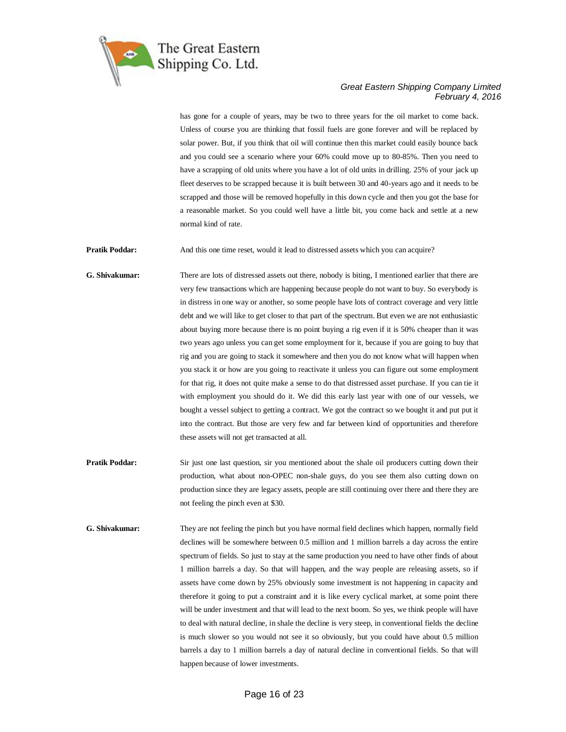

has gone for a couple of years, may be two to three years for the oil market to come back. Unless of course you are thinking that fossil fuels are gone forever and will be replaced by solar power. But, if you think that oil will continue then this market could easily bounce back and you could see a scenario where your 60% could move up to 80-85%. Then you need to have a scrapping of old units where you have a lot of old units in drilling. 25% of your jack up fleet deserves to be scrapped because it is built between 30 and 40-years ago and it needs to be scrapped and those will be removed hopefully in this down cycle and then you got the base for a reasonable market. So you could well have a little bit, you come back and settle at a new normal kind of rate.

**Pratik Poddar:** And this one time reset, would it lead to distressed assets which you can acquire?

**G. Shivakumar:** There are lots of distressed assets out there, nobody is biting, I mentioned earlier that there are very few transactions which are happening because people do not want to buy. So everybody is in distress in one way or another, so some people have lots of contract coverage and very little debt and we will like to get closer to that part of the spectrum. But even we are not enthusiastic about buying more because there is no point buying a rig even if it is 50% cheaper than it was two years ago unless you can get some employment for it, because if you are going to buy that rig and you are going to stack it somewhere and then you do not know what will happen when you stack it or how are you going to reactivate it unless you can figure out some employment for that rig, it does not quite make a sense to do that distressed asset purchase. If you can tie it with employment you should do it. We did this early last year with one of our vessels, we bought a vessel subject to getting a contract. We got the contract so we bought it and put put it into the contract. But those are very few and far between kind of opportunities and therefore these assets will not get transacted at all.

- **Pratik Poddar:** Sir just one last question, sir you mentioned about the shale oil producers cutting down their production, what about non-OPEC non-shale guys, do you see them also cutting down on production since they are legacy assets, people are still continuing over there and there they are not feeling the pinch even at \$30.
- **G. Shivakumar:** They are not feeling the pinch but you have normal field declines which happen, normally field declines will be somewhere between 0.5 million and 1 million barrels a day across the entire spectrum of fields. So just to stay at the same production you need to have other finds of about 1 million barrels a day. So that will happen, and the way people are releasing assets, so if assets have come down by 25% obviously some investment is not happening in capacity and therefore it going to put a constraint and it is like every cyclical market, at some point there will be under investment and that will lead to the next boom. So yes, we think people will have to deal with natural decline, in shale the decline is very steep, in conventional fields the decline is much slower so you would not see it so obviously, but you could have about 0.5 million barrels a day to 1 million barrels a day of natural decline in conventional fields. So that will happen because of lower investments.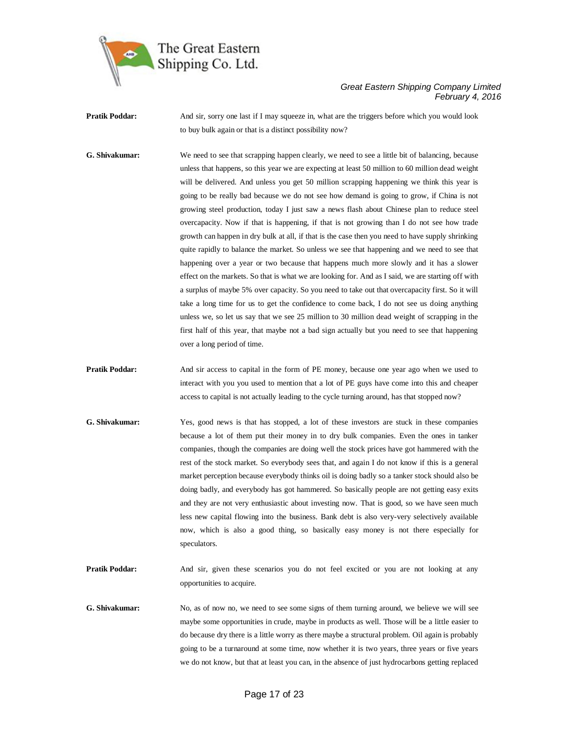

**Pratik Poddar:** And sir, sorry one last if I may squeeze in, what are the triggers before which you would look to buy bulk again or that is a distinct possibility now?

**G. Shivakumar:** We need to see that scrapping happen clearly, we need to see a little bit of balancing, because unless that happens, so this year we are expecting at least 50 million to 60 million dead weight will be delivered. And unless you get 50 million scrapping happening we think this year is going to be really bad because we do not see how demand is going to grow, if China is not growing steel production, today I just saw a news flash about Chinese plan to reduce steel overcapacity. Now if that is happening, if that is not growing than I do not see how trade growth can happen in dry bulk at all, if that is the case then you need to have supply shrinking quite rapidly to balance the market. So unless we see that happening and we need to see that happening over a year or two because that happens much more slowly and it has a slower effect on the markets. So that is what we are looking for. And as I said, we are starting off with a surplus of maybe 5% over capacity. So you need to take out that overcapacity first. So it will take a long time for us to get the confidence to come back, I do not see us doing anything unless we, so let us say that we see 25 million to 30 million dead weight of scrapping in the first half of this year, that maybe not a bad sign actually but you need to see that happening over a long period of time.

**Pratik Poddar:** And sir access to capital in the form of PE money, because one year ago when we used to interact with you you used to mention that a lot of PE guys have come into this and cheaper access to capital is not actually leading to the cycle turning around, has that stopped now?

- **G. Shivakumar:** Yes, good news is that has stopped, a lot of these investors are stuck in these companies because a lot of them put their money in to dry bulk companies. Even the ones in tanker companies, though the companies are doing well the stock prices have got hammered with the rest of the stock market. So everybody sees that, and again I do not know if this is a general market perception because everybody thinks oil is doing badly so a tanker stock should also be doing badly, and everybody has got hammered. So basically people are not getting easy exits and they are not very enthusiastic about investing now. That is good, so we have seen much less new capital flowing into the business. Bank debt is also very-very selectively available now, which is also a good thing, so basically easy money is not there especially for speculators.
- Pratik Poddar: And sir, given these scenarios you do not feel excited or you are not looking at any opportunities to acquire.
- **G. Shivakumar:** No, as of now no, we need to see some signs of them turning around, we believe we will see maybe some opportunities in crude, maybe in products as well. Those will be a little easier to do because dry there is a little worry as there maybe a structural problem. Oil again is probably going to be a turnaround at some time, now whether it is two years, three years or five years we do not know, but that at least you can, in the absence of just hydrocarbons getting replaced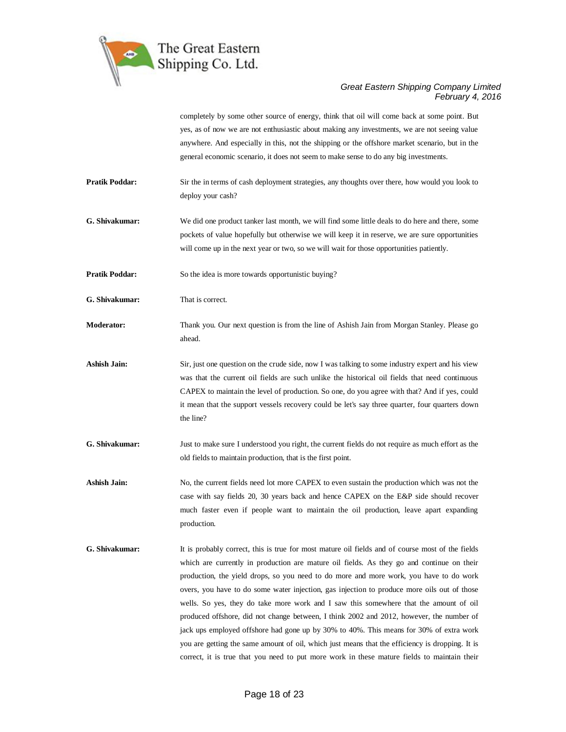

completely by some other source of energy, think that oil will come back at some point. But yes, as of now we are not enthusiastic about making any investments, we are not seeing value anywhere. And especially in this, not the shipping or the offshore market scenario, but in the general economic scenario, it does not seem to make sense to do any big investments.

- **Pratik Poddar:** Sir the in terms of cash deployment strategies, any thoughts over there, how would you look to deploy your cash?
- **G. Shivakumar:** We did one product tanker last month, we will find some little deals to do here and there, some pockets of value hopefully but otherwise we will keep it in reserve, we are sure opportunities will come up in the next year or two, so we will wait for those opportunities patiently.
- **Pratik Poddar:** So the idea is more towards opportunistic buying?
- **G. Shivakumar:** That is correct.
- **Moderator:** Thank you. Our next question is from the line of Ashish Jain from Morgan Stanley. Please go ahead.
- **Ashish Jain:** Sir, just one question on the crude side, now I was talking to some industry expert and his view was that the current oil fields are such unlike the historical oil fields that need continuous CAPEX to maintain the level of production. So one, do you agree with that? And if yes, could it mean that the support vessels recovery could be let's say three quarter, four quarters down the line?
- **G. Shivakumar:** Just to make sure I understood you right, the current fields do not require as much effort as the old fields to maintain production, that is the first point.
- Ashish Jain: No, the current fields need lot more CAPEX to even sustain the production which was not the case with say fields 20, 30 years back and hence CAPEX on the E&P side should recover much faster even if people want to maintain the oil production, leave apart expanding production.
- **G. Shivakumar:** It is probably correct, this is true for most mature oil fields and of course most of the fields which are currently in production are mature oil fields. As they go and continue on their production, the yield drops, so you need to do more and more work, you have to do work overs, you have to do some water injection, gas injection to produce more oils out of those wells. So yes, they do take more work and I saw this somewhere that the amount of oil produced offshore, did not change between, I think 2002 and 2012, however, the number of jack ups employed offshore had gone up by 30% to 40%. This means for 30% of extra work you are getting the same amount of oil, which just means that the efficiency is dropping. It is correct, it is true that you need to put more work in these mature fields to maintain their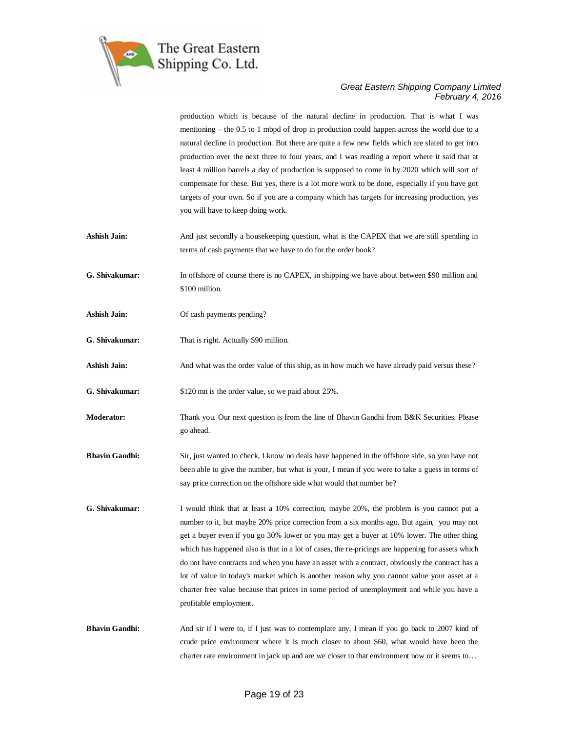

production which is because of the natural decline in production. That is what I was mentioning – the 0.5 to 1 mbpd of drop in production could happen across the world due to a natural decline in production. But there are quite a few new fields which are slated to get into production over the next three to four years, and I was reading a report where it said that at least 4 million barrels a day of production is supposed to come in by 2020 which will sort of compensate for these. But yes, there is a lot more work to be done, especially if you have got targets of your own. So if you are a company which has targets for increasing production, yes you will have to keep doing work.

- **Ashish Jain:** And just secondly a house keeping question, what is the CAPEX that we are still spending in terms of cash payments that we have to do for the order book?
- **G. Shivakumar:** In offshore of course there is no CAPEX, in shipping we have about between \$90 million and \$100 million.
- **Ashish Jain:** Of cash payments pending?
- **G. Shivakumar:** That is right. Actually \$90 million.
- **Ashish Jain:** And what was the order value of this ship, as in how much we have already paid versus these?

**G. Shivakumar:** \$120 mn is the order value, so we paid about 25%.

- **Moderator:** Thank you. Our next question is from the line of Bhavin Gandhi from B&K Securities. Please go ahead.
- **Bhavin Gandhi:** Sir, just wanted to check, I know no deals have happened in the offshore side, so you have not been able to give the number, but what is your, I mean if you were to take a guess in terms of say price correction on the offshore side what would that number be?
- **G. Shivakumar:** I would think that at least a 10% correction, maybe 20%, the problem is you cannot put a number to it, but maybe 20% price correction from a six months ago. But again, you may not get a buyer even if you go 30% lower or you may get a buyer at 10% lower. The other thing which has happened also is that in a lot of cases, the re-pricings are happening for assets which do not have contracts and when you have an asset with a contract, obviously the contract has a lot of value in today's market which is another reason why you cannot value your asset at a charter free value because that prices in some period of unemployment and while you have a profitable employment.
- **Bhavin Gandhi:** And sir if I were to, if I just was to contemplate any, I mean if you go back to 2007 kind of crude price environment where it is much closer to about \$60, what would have been the charter rate environment in jack up and are we closer to that environment now or it seems to…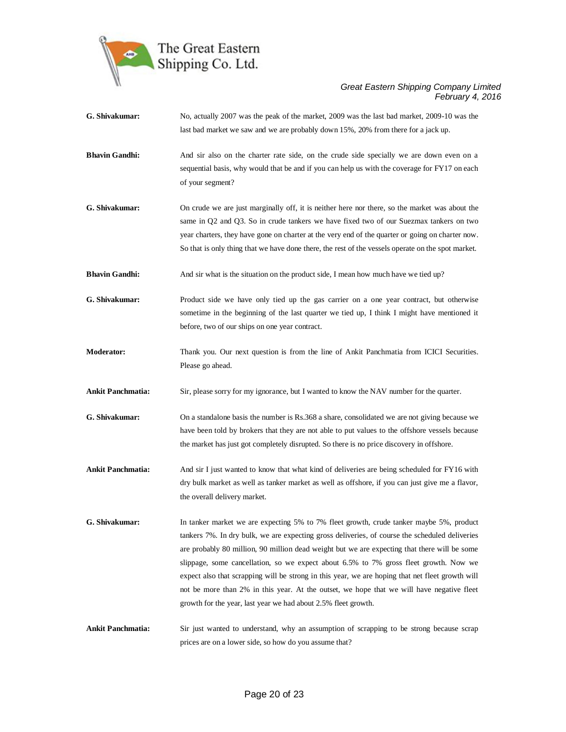

- **G. Shivakumar:** No, actually 2007 was the peak of the market, 2009 was the last bad market, 2009-10 was the last bad market we saw and we are probably down 15%, 20% from there for a jack up.
- **Bhavin Gandhi:** And sir also on the charter rate side, on the crude side specially we are down even on a sequential basis, why would that be and if you can help us with the coverage for FY17 on each of your segment?
- **G. Shivakumar:** On crude we are just marginally off, it is neither here nor there, so the market was about the same in Q2 and Q3. So in crude tankers we have fixed two of our Suezmax tankers on two year charters, they have gone on charter at the very end of the quarter or going on charter now. So that is only thing that we have done there, the rest of the vessels operate on the spot market.
- **Bhavin Gandhi:** And sir what is the situation on the product side, I mean how much have we tied up?
- **G. Shivakumar:** Product side we have only tied up the gas carrier on a one year contract, but otherwise sometime in the beginning of the last quarter we tied up, I think I might have mentioned it before, two of our ships on one year contract.
- **Moderator:** Thank you. Our next question is from the line of Ankit Panchmatia from ICICI Securities. Please go ahead.
- **Ankit Panchmatia:** Sir, please sorry for my ignorance, but I wanted to know the NAV number for the quarter.
- **G. Shivakumar:** On a standalone basis the number is Rs.368 a share, consolidated we are not giving because we have been told by brokers that they are not able to put values to the offshore vessels because the market has just got completely disrupted. So there is no price discovery in offshore.
- **Ankit Panchmatia:** And sir I just wanted to know that what kind of deliveries are being scheduled for FY16 with dry bulk market as well as tanker market as well as offshore, if you can just give me a flavor, the overall delivery market.
- **G. Shivakumar:** In tanker market we are expecting 5% to 7% fleet growth, crude tanker maybe 5%, product tankers 7%. In dry bulk, we are expecting gross deliveries, of course the scheduled deliveries are probably 80 million, 90 million dead weight but we are expecting that there will be some slippage, some cancellation, so we expect about 6.5% to 7% gross fleet growth. Now we expect also that scrapping will be strong in this year, we are hoping that net fleet growth will not be more than 2% in this year. At the outset, we hope that we will have negative fleet growth for the year, last year we had about 2.5% fleet growth.
- **Ankit Panchmatia:** Sir just wanted to understand, why an assumption of scrapping to be strong because scrap prices are on a lower side, so how do you assume that?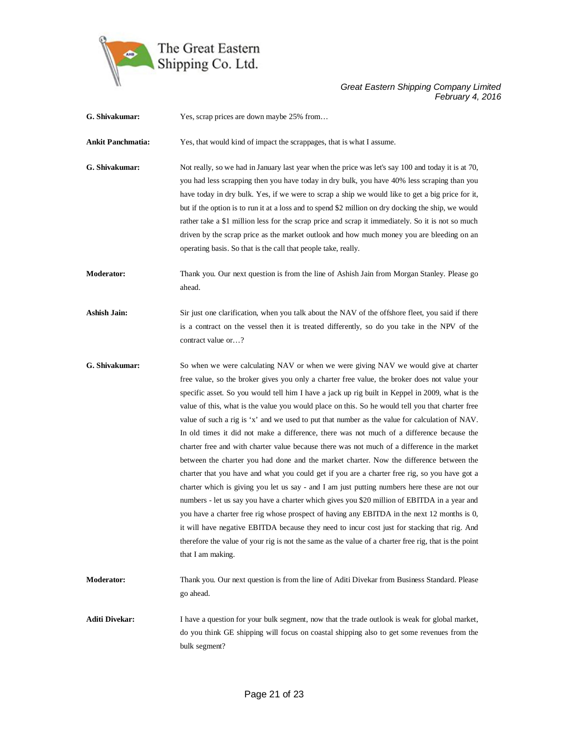

**G. Shivakumar:** Yes, scrap prices are down maybe 25% from… **Ankit Panchmatia:** Yes, that would kind of impact the scrappages, that is what I assume. **G. Shivakumar:** Not really, so we had in January last year when the price was let's say 100 and today it is at 70, you had less scrapping then you have today in dry bulk, you have 40% less scraping than you have today in dry bulk. Yes, if we were to scrap a ship we would like to get a big price for it, but if the option is to run it at a loss and to spend \$2 million on dry docking the ship, we would rather take a \$1 million less for the scrap price and scrap it immediately. So it is not so much driven by the scrap price as the market outlook and how much money you are bleeding on an operating basis. So that is the call that people take, really. **Moderator:** Thank you. Our next question is from the line of Ashish Jain from Morgan Stanley. Please go ahead. Ashish Jain: Sir just one clarification, when you talk about the NAV of the offshore fleet, you said if there is a contract on the vessel then it is treated differently, so do you take in the NPV of the contract value or…? **G. Shivakumar:** So when we were calculating NAV or when we were giving NAV we would give at charter free value, so the broker gives you only a charter free value, the broker does not value your specific asset. So you would tell him I have a jack up rig built in Keppel in 2009, what is the value of this, what is the value you would place on this. So he would tell you that charter free value of such a rig is 'x' and we used to put that number as the value for calculation of NAV. In old times it did not make a difference, there was not much of a difference because the charter free and with charter value because there was not much of a difference in the market between the charter you had done and the market charter. Now the difference between the charter that you have and what you could get if you are a charter free rig, so you have got a charter which is giving you let us say - and I am just putting numbers here these are not our numbers - let us say you have a charter which gives you \$20 million of EBITDA in a year and you have a charter free rig whose prospect of having any EBITDA in the next 12 months is 0, it will have negative EBITDA because they need to incur cost just for stacking that rig. And therefore the value of your rig is not the same as the value of a charter free rig, that is the point that I am making. **Moderator:** Thank you. Our next question is from the line of Aditi Divekar from Business Standard. Please go ahead. **Aditi Divekar:** I have a question for your bulk segment, now that the trade outlook is weak for global market, do you think GE shipping will focus on coastal shipping also to get some revenues from the bulk segment?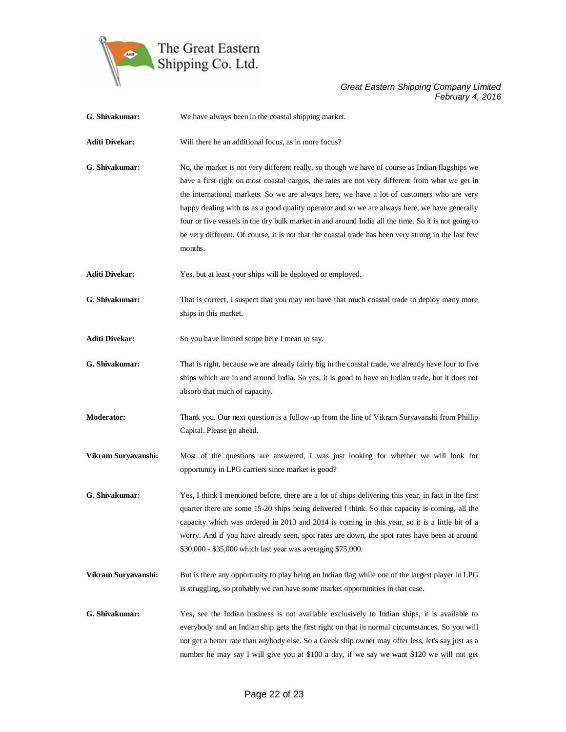

| G. Shivakumar:        | We have always been in the coastal shipping market.                                                                                                                                                                                                                                                                                                                                                                                                                                                                                                                                                                       |
|-----------------------|---------------------------------------------------------------------------------------------------------------------------------------------------------------------------------------------------------------------------------------------------------------------------------------------------------------------------------------------------------------------------------------------------------------------------------------------------------------------------------------------------------------------------------------------------------------------------------------------------------------------------|
| <b>Aditi Divekar:</b> | Will there be an additional focus, as in more focus?                                                                                                                                                                                                                                                                                                                                                                                                                                                                                                                                                                      |
| G. Shivakumar:        | No, the market is not very different really, so though we have of course as Indian flagships we<br>have a first right on most coastal cargos, the rates are not very different from what we get in<br>the international markets. So we are always here, we have a lot of customers who are very<br>happy dealing with us as a good quality operator and so we are always here, we have generally<br>four or five vessels in the dry bulk market in and around India all the time. So it is not going to<br>be very different. Of course, it is not that the coastal trade has been very strong in the last few<br>months. |
| <b>Aditi Divekar:</b> | Yes, but at least your ships will be deployed or employed.                                                                                                                                                                                                                                                                                                                                                                                                                                                                                                                                                                |
| G. Shivakumar:        | That is correct, I suspect that you may not have that much coastal trade to deploy many more<br>ships in this market.                                                                                                                                                                                                                                                                                                                                                                                                                                                                                                     |
| <b>Aditi Divekar:</b> | So you have limited scope here I mean to say.                                                                                                                                                                                                                                                                                                                                                                                                                                                                                                                                                                             |
| G. Shivakumar:        | That is right, because we are already fairly big in the coastal trade, we already have four to five<br>ships which are in and around India. So yes, it is good to have an Indian trade, but it does not<br>absorb that much of capacity.                                                                                                                                                                                                                                                                                                                                                                                  |
| <b>Moderator:</b>     | Thank you. Our next question is a follow-up from the line of Vikram Suryavanshi from Phillip<br>Capital. Please go ahead.                                                                                                                                                                                                                                                                                                                                                                                                                                                                                                 |
| Vikram Suryavanshi:   | Most of the questions are answered, I was just looking for whether we will look for<br>opportunity in LPG carriers since market is good?                                                                                                                                                                                                                                                                                                                                                                                                                                                                                  |
| G. Shivakumar:        | Yes, I think I mentioned before, there are a lot of ships delivering this year, in fact in the first<br>quarter there are some 15-20 ships being delivered I think. So that capacity is coming, all the<br>capacity which was ordered in 2013 and 2014 is coming in this year, so it is a little bit of a<br>worry. And if you have already seen, spot rates are down, the spot rates have been at around<br>\$30,000 - \$35,000 which last year was averaging \$75,000.                                                                                                                                                  |
| Vikram Suryavanshi:   | But is there any opportunity to play being an Indian flag while one of the largest player in LPG<br>is struggling, so probably we can have some market opportunities in that case.                                                                                                                                                                                                                                                                                                                                                                                                                                        |
| G. Shivakumar:        | Yes, see the Indian business is not available exclusively to Indian ships, it is available to<br>everybody and an Indian ship gets the first right on that in normal circumstances. So you will<br>not get a better rate than anybody else. So a Greek ship owner may offer less, let's say just as a<br>number he may say I will give you at \$100 a day, if we say we want \$120 we will not get                                                                                                                                                                                                                        |